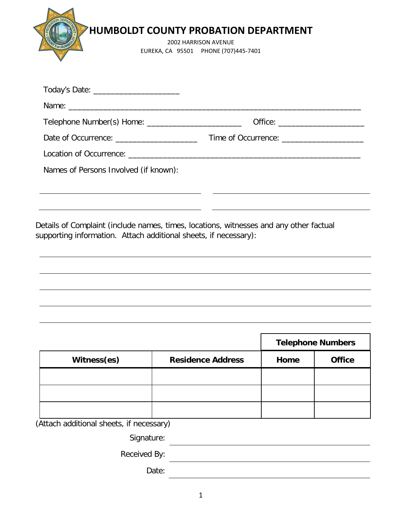| <b>HUMBOLDT COUNTY PROBATION DEPARTMENT</b>                  |
|--------------------------------------------------------------|
| 2002 HARRISON AVENUE<br>EUREKA, CA 95501 PHONE (707)445-7401 |

|                                             | Office: ________________________ |
|---------------------------------------------|----------------------------------|
| Date of Occurrence: _______________________ |                                  |
|                                             |                                  |
| Names of Persons Involved (if known):       |                                  |
|                                             |                                  |
|                                             |                                  |
|                                             |                                  |

**Telephone Numbers** Witness(es) **Residence Address** | Home | Office

<u> 1989 - Johann Stoff, fransk politik (d. 1989)</u>

(Attach additional sheets, if necessary)

Signature:

Received By:

Date: